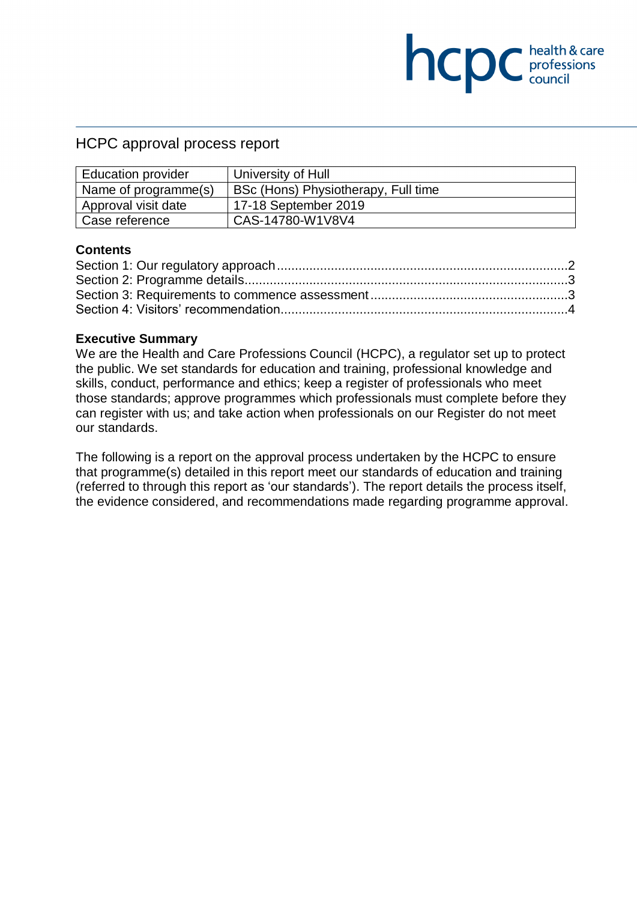# HCPC approval process report

| <b>Education provider</b> | University of Hull                  |
|---------------------------|-------------------------------------|
| Name of programme(s)      | BSc (Hons) Physiotherapy, Full time |
| Approval visit date       | 17-18 September 2019                |
| Case reference            | CAS-14780-W1V8V4                    |

**NCDC** health & care

#### **Contents**

#### **Executive Summary**

We are the Health and Care Professions Council (HCPC), a regulator set up to protect the public. We set standards for education and training, professional knowledge and skills, conduct, performance and ethics; keep a register of professionals who meet those standards; approve programmes which professionals must complete before they can register with us; and take action when professionals on our Register do not meet our standards.

The following is a report on the approval process undertaken by the HCPC to ensure that programme(s) detailed in this report meet our standards of education and training (referred to through this report as 'our standards'). The report details the process itself, the evidence considered, and recommendations made regarding programme approval.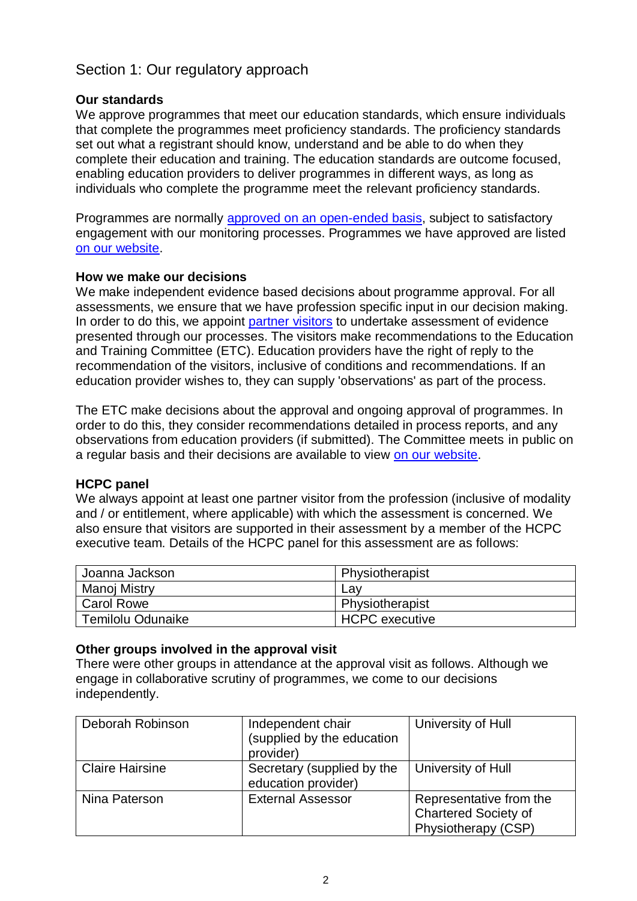# <span id="page-1-0"></span>Section 1: Our regulatory approach

### **Our standards**

We approve programmes that meet our education standards, which ensure individuals that complete the programmes meet proficiency standards. The proficiency standards set out what a registrant should know, understand and be able to do when they complete their education and training. The education standards are outcome focused, enabling education providers to deliver programmes in different ways, as long as individuals who complete the programme meet the relevant proficiency standards.

Programmes are normally [approved on an open-ended basis,](http://www.hcpc-uk.org/education/processes/) subject to satisfactory engagement with our monitoring processes. Programmes we have approved are listed [on our website.](http://www.hcpc-uk.org/education/programmes/register/)

#### **How we make our decisions**

We make independent evidence based decisions about programme approval. For all assessments, we ensure that we have profession specific input in our decision making. In order to do this, we appoint [partner visitors](http://www.hcpc-uk.org/aboutus/partners/) to undertake assessment of evidence presented through our processes. The visitors make recommendations to the Education and Training Committee (ETC). Education providers have the right of reply to the recommendation of the visitors, inclusive of conditions and recommendations. If an education provider wishes to, they can supply 'observations' as part of the process.

The ETC make decisions about the approval and ongoing approval of programmes. In order to do this, they consider recommendations detailed in process reports, and any observations from education providers (if submitted). The Committee meets in public on a regular basis and their decisions are available to view on our [website.](http://www.hcpc-uk.org/aboutus/committees/educationandtrainingpanel/)

#### **HCPC panel**

We always appoint at least one partner visitor from the profession (inclusive of modality and / or entitlement, where applicable) with which the assessment is concerned. We also ensure that visitors are supported in their assessment by a member of the HCPC executive team. Details of the HCPC panel for this assessment are as follows:

| Joanna Jackson    | Physiotherapist |
|-------------------|-----------------|
| Manoj Mistry      | Lav             |
| <b>Carol Rowe</b> | Physiotherapist |
| Temilolu Odunaike | HCPC executive  |

#### **Other groups involved in the approval visit**

There were other groups in attendance at the approval visit as follows. Although we engage in collaborative scrutiny of programmes, we come to our decisions independently.

| Deborah Robinson       | Independent chair<br>(supplied by the education<br>provider) | University of Hull                                                            |
|------------------------|--------------------------------------------------------------|-------------------------------------------------------------------------------|
| <b>Claire Hairsine</b> | Secretary (supplied by the<br>education provider)            | University of Hull                                                            |
| Nina Paterson          | <b>External Assessor</b>                                     | Representative from the<br><b>Chartered Society of</b><br>Physiotherapy (CSP) |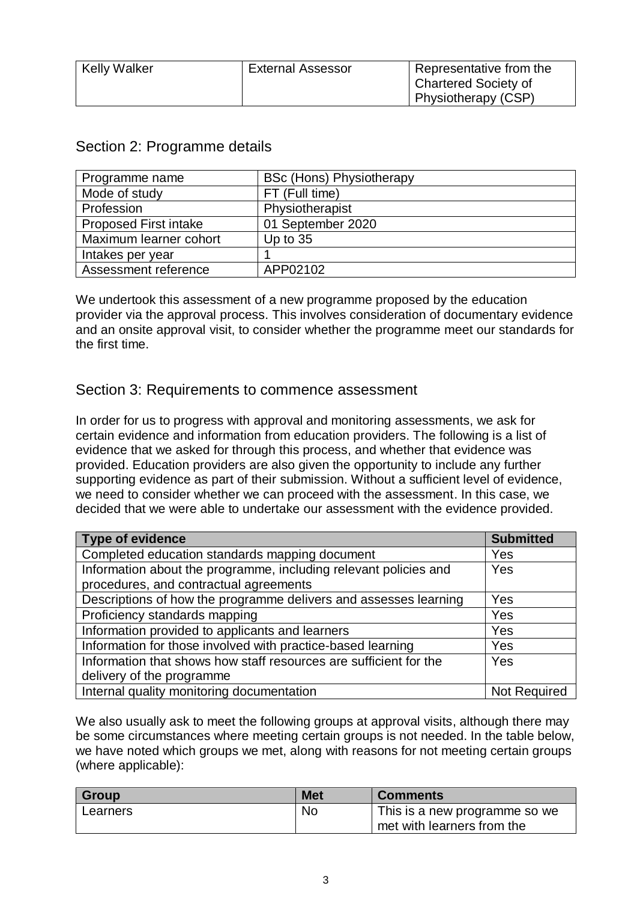| <b>Kelly Walker</b> | <b>External Assessor</b> | Representative from the |
|---------------------|--------------------------|-------------------------|
|                     |                          | Chartered Society of    |
|                     |                          | Physiotherapy (CSP)     |

| Programme name               | <b>BSc (Hons) Physiotherapy</b> |  |
|------------------------------|---------------------------------|--|
| Mode of study                | FT (Full time)                  |  |
| Profession                   | Physiotherapist                 |  |
| <b>Proposed First intake</b> | 01 September 2020               |  |
| Maximum learner cohort       | Up to $35$                      |  |
| Intakes per year             |                                 |  |
| Assessment reference         | APP02102                        |  |

### <span id="page-2-0"></span>Section 2: Programme details

We undertook this assessment of a new programme proposed by the education provider via the approval process. This involves consideration of documentary evidence and an onsite approval visit, to consider whether the programme meet our standards for the first time.

# <span id="page-2-1"></span>Section 3: Requirements to commence assessment

In order for us to progress with approval and monitoring assessments, we ask for certain evidence and information from education providers. The following is a list of evidence that we asked for through this process, and whether that evidence was provided. Education providers are also given the opportunity to include any further supporting evidence as part of their submission. Without a sufficient level of evidence, we need to consider whether we can proceed with the assessment. In this case, we decided that we were able to undertake our assessment with the evidence provided.

| <b>Type of evidence</b>                                           | <b>Submitted</b>    |
|-------------------------------------------------------------------|---------------------|
| Completed education standards mapping document                    | Yes                 |
| Information about the programme, including relevant policies and  | Yes                 |
| procedures, and contractual agreements                            |                     |
| Descriptions of how the programme delivers and assesses learning  | Yes                 |
| Proficiency standards mapping                                     | Yes                 |
| Information provided to applicants and learners                   | Yes                 |
| Information for those involved with practice-based learning       | Yes                 |
| Information that shows how staff resources are sufficient for the | Yes                 |
| delivery of the programme                                         |                     |
| Internal quality monitoring documentation                         | <b>Not Required</b> |

We also usually ask to meet the following groups at approval visits, although there may be some circumstances where meeting certain groups is not needed. In the table below, we have noted which groups we met, along with reasons for not meeting certain groups (where applicable):

| <b>Group</b> | <b>Met</b> | <b>Comments</b>               |
|--------------|------------|-------------------------------|
| Learners     | <b>No</b>  | This is a new programme so we |
|              |            | met with learners from the    |